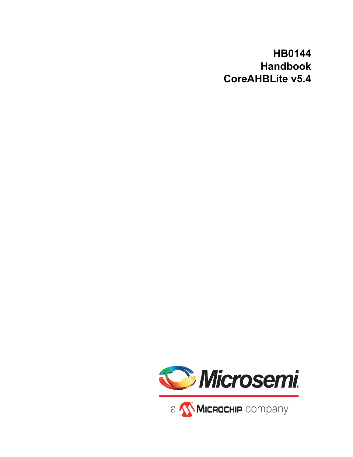# **HB0144 Handbook CoreAHBLite v5.4**

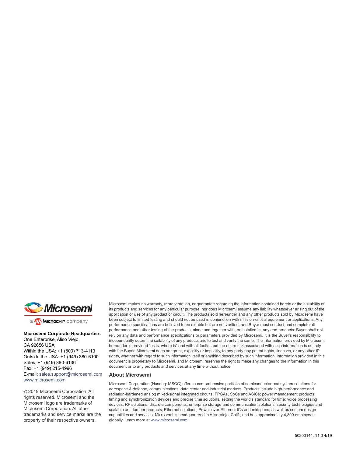

a MICROCHIP company

#### **Microsemi Corporate Headquarters**

One Enterprise, Aliso Viejo, CA 92656 USA Within the USA: +1 (800) 713-4113 Outside the USA: +1 (949) 380-6100 Sales: +1 (949) 380-6136 Fax: +1 (949) 215-4996 E-mail: [sales.support@microsemi.com](mailto:sales.support@microsemi.com) [www.microsemi.com](http://www.microsemi.com)

© 2019 Microsemi Corporation. All rights reserved. Microsemi and the Microsemi logo are trademarks of Microsemi Corporation. All other trademarks and service marks are the property of their respective owners.

Microsemi makes no warranty, representation, or guarantee regarding the information contained herein or the suitability of its products and services for any particular purpose, nor does Microsemi assume any liability whatsoever arising out of the application or use of any product or circuit. The products sold hereunder and any other products sold by Microsemi have been subject to limited testing and should not be used in conjunction with mission-critical equipment or applications. Any performance specifications are believed to be reliable but are not verified, and Buyer must conduct and complete all performance and other testing of the products, alone and together with, or installed in, any end-products. Buyer shall not rely on any data and performance specifications or parameters provided by Microsemi. It is the Buyer's responsibility to independently determine suitability of any products and to test and verify the same. The information provided by Microsemi hereunder is provided "as is, where is" and with all faults, and the entire risk associated with such information is entirely with the Buyer. Microsemi does not grant, explicitly or implicitly, to any party any patent rights, licenses, or any other IP rights, whether with regard to such information itself or anything described by such information. Information provided in this document is proprietary to Microsemi, and Microsemi reserves the right to make any changes to the information in this document or to any products and services at any time without notice.

#### **About Microsemi**

Microsemi Corporation (Nasdaq: MSCC) offers a comprehensive portfolio of semiconductor and system solutions for aerospace & defense, communications, data center and industrial markets. Products include high-performance and radiation-hardened analog mixed-signal integrated circuits, FPGAs, SoCs and ASICs; power management products; timing and synchronization devices and precise time solutions, setting the world's standard for time; voice processing devices; RF solutions; discrete components; enterprise storage and communication solutions, security technologies and scalable anti-tamper products; Ethernet solutions; Power-over-Ethernet ICs and midspans; as well as custom design capabilities and services. Microsemi is headquartered in Aliso Viejo, Calif., and has approximately 4,800 employees globally. Learn more at www.microsemi.com.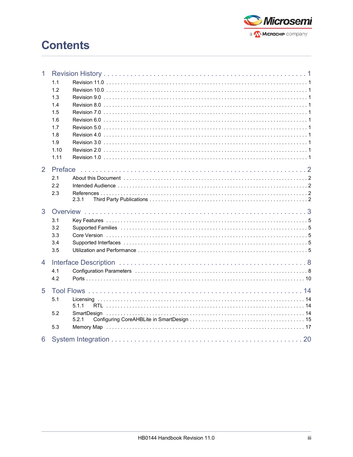

# **Contents**

| $\mathbf{1}$   |              |       |
|----------------|--------------|-------|
|                | 1.1          |       |
|                | 1.2          |       |
|                | 1.3          |       |
|                | 1.4          |       |
|                | 1.5          |       |
|                | 1.6          |       |
|                | 1.7          |       |
|                | 1.8          |       |
|                | 1.9          |       |
|                | 1.10<br>1.11 |       |
|                |              |       |
| $\overline{2}$ | Preface      |       |
|                | 2.1          |       |
|                | 2.2          |       |
|                | 2.3          |       |
|                |              | 2.3.1 |
| 3              |              |       |
|                | 3.1          |       |
|                | 3.2          |       |
|                | 3.3          |       |
|                | 3.4          |       |
|                | 3.5          |       |
| $\overline{4}$ |              |       |
|                | 4.1          |       |
|                | 4.2          |       |
|                |              |       |
| 5              |              |       |
|                | 5.1          |       |
|                |              | 5.1.1 |
|                | 5.2          |       |
|                |              | 5.2.1 |
|                | 5.3          |       |
| 6              |              |       |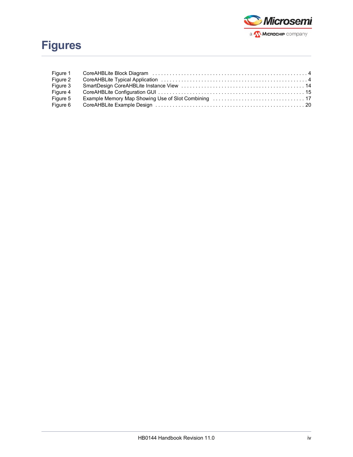

| Figure 1 |  |
|----------|--|
| Figure 2 |  |
| Figure 3 |  |
| Figure 4 |  |
| Figure 5 |  |
| Figure 6 |  |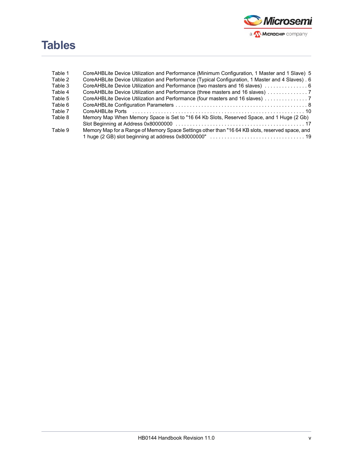

# **Tables**

| Table 1 | CoreAHBLite Device Utilization and Performance (Minimum Configuration, 1 Master and 1 Slave) 5    |
|---------|---------------------------------------------------------------------------------------------------|
| Table 2 | CoreAHBLite Device Utilization and Performance (Typical Configuration, 1 Master and 4 Slaves) . 6 |
| Table 3 | CoreAHBLite Device Utilization and Performance (two masters and 16 slaves)  6                     |
| Table 4 |                                                                                                   |
| Table 5 | CoreAHBLite Device Utilization and Performance (four masters and 16 slaves) 7                     |
| Table 6 |                                                                                                   |
| Table 7 |                                                                                                   |
| Table 8 | Memory Map When Memory Space is Set to "16 64 Kb Slots, Reserved Space, and 1 Huge (2 Gb)         |
|         |                                                                                                   |
| Table 9 | Memory Map for a Range of Memory Space Settings other than "16 64 KB slots, reserved space, and   |
|         |                                                                                                   |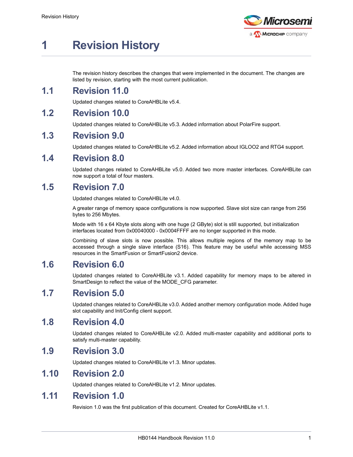

# <span id="page-5-0"></span>**1 Revision History**

The revision history describes the changes that were implemented in the document. The changes are listed by revision, starting with the most current publication.

## <span id="page-5-1"></span>**1.1 Revision 11.0**

Updated changes related to CoreAHBLite v5.4.

# <span id="page-5-2"></span>**1.2 Revision 10.0**

Updated changes related to CoreAHBLite v5.3. Added information about PolarFire support.

## <span id="page-5-3"></span>**1.3 Revision 9.0**

Updated changes related to CoreAHBLite v5.2. Added information about IGLOO2 and RTG4 support.

### <span id="page-5-4"></span>**1.4 Revision 8.0**

Updated changes related to CoreAHBLite v5.0. Added two more master interfaces. CoreAHBLite can now support a total of four masters.

# <span id="page-5-5"></span>**1.5 Revision 7.0**

Updated changes related to CoreAHBLite v4.0.

A greater range of memory space configurations is now supported. Slave slot size can range from 256 bytes to 256 Mbytes.

Mode with 16 x 64 Kbyte slots along with one huge (2 GByte) slot is still supported, but initialization interfaces located from 0x00040000 - 0x0004FFFF are no longer supported in this mode.

Combining of slave slots is now possible. This allows multiple regions of the memory map to be accessed through a single slave interface (S16). This feature may be useful while accessing MSS resources in the SmartFusion or SmartFusion2 device.

## <span id="page-5-6"></span>**1.6 Revision 6.0**

Updated changes related to CoreAHBLite v3.1. Added capability for memory maps to be altered in SmartDesign to reflect the value of the MODE\_CFG parameter.

## <span id="page-5-7"></span>**1.7 Revision 5.0**

Updated changes related to CoreAHBLite v3.0. Added another memory configuration mode. Added huge slot capability and Init/Config client support.

## <span id="page-5-8"></span>**1.8 Revision 4.0**

Updated changes related to CoreAHBLite v2.0. Added multi-master capability and additional ports to satisfy multi-master capability.

## <span id="page-5-9"></span>**1.9 Revision 3.0**

Updated changes related to CoreAHBLite v1.3. Minor updates.

### <span id="page-5-10"></span>**1.10 Revision 2.0**

Updated changes related to CoreAHBLite v1.2. Minor updates.

### <span id="page-5-11"></span>**1.11 Revision 1.0**

Revision 1.0 was the first publication of this document. Created for CoreAHBLite v1.1.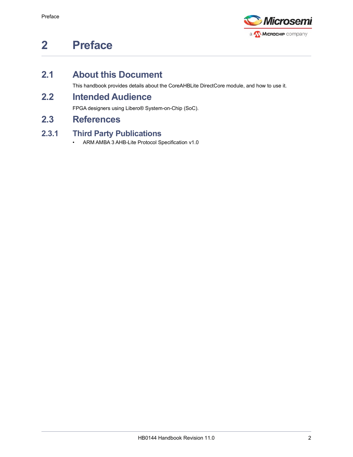

# <span id="page-6-0"></span>**2 Preface**

# <span id="page-6-1"></span>**2.1 About this Document**

This handbook provides details about the CoreAHBLite DirectCore module, and how to use it.

# <span id="page-6-2"></span>**2.2 Intended Audience**

FPGA designers using Libero® System-on-Chip (SoC).

# <span id="page-6-3"></span>**2.3 References**

### <span id="page-6-4"></span>**2.3.1 Third Party Publications**

• ARM AMBA 3 AHB-Lite Protocol Specification v1.0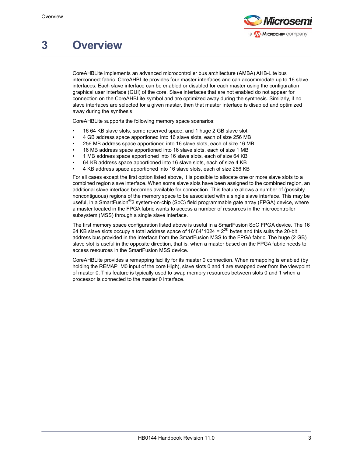

# <span id="page-7-0"></span>**3 Overview**

CoreAHBLite implements an advanced microcontroller bus architecture (AMBA) AHB-Lite bus interconnect fabric. CoreAHBLite provides four master interfaces and can accommodate up to 16 slave interfaces. Each slave interface can be enabled or disabled for each master using the configuration graphical user interface (GUI) of the core. Slave interfaces that are not enabled do not appear for connection on the CoreAHBLite symbol and are optimized away during the synthesis. Similarly, if no slave interfaces are selected for a given master, then that master interface is disabled and optimized away during the synthesis.

CoreAHBLite supports the following memory space scenarios:

- 16 64 KB slave slots, some reserved space, and 1 huge 2 GB slave slot
- 4 GB address space apportioned into 16 slave slots, each of size 256 MB
- 256 MB address space apportioned into 16 slave slots, each of size 16 MB
- 16 MB address space apportioned into 16 slave slots, each of size 1 MB
- 1 MB address space apportioned into 16 slave slots, each of size 64 KB
- 64 KB address space apportioned into 16 slave slots, each of size 4 KB
- 4 KB address space apportioned into 16 slave slots, each of size 256 KB

For all cases except the first option listed above, it is possible to allocate one or more slave slots to a combined region slave interface. When some slave slots have been assigned to the combined region, an additional slave interface becomes available for connection. This feature allows a number of (possibly noncontiguous) regions of the memory space to be associated with a single slave interface. This may be useful, in a SmartFusion<sup>®</sup>2 system-on-chip (SoC) field programmable gate array (FPGA) device, where a master located in the FPGA fabric wants to access a number of resources in the microcontroller subsystem (MSS) through a single slave interface.

The first memory space configuration listed above is useful in a SmartFusion SoC FPGA device. The 16 64 KB slave slots occupy a total address space of  $16*64*1024 = 2^{20}$  bytes and this suits the 20-bit address bus provided in the interface from the SmartFusion MSS to the FPGA fabric. The huge (2 GB) slave slot is useful in the opposite direction, that is, when a master based on the FPGA fabric needs to access resources in the SmartFusion MSS device.

CoreAHBLite provides a remapping facility for its master 0 connection. When remapping is enabled (by holding the REMAP\_M0 input of the core High), slave slots 0 and 1 are swapped over from the viewpoint of master 0. This feature is typically used to swap memory resources between slots 0 and 1 when a processor is connected to the master 0 interface.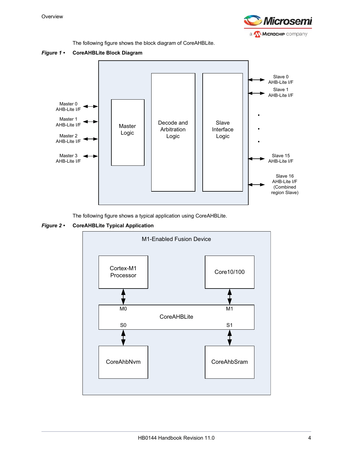

The following figure shows the block diagram of CoreAHBLite.

<span id="page-8-0"></span>



The following figure shows a typical application using CoreAHBLite.

<span id="page-8-1"></span>

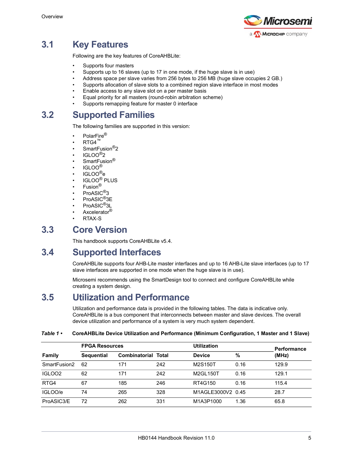

# <span id="page-9-0"></span>**3.1 Key Features**

Following are the key features of CoreAHBLite:

- Supports four masters
- Supports up to 16 slaves (up to 17 in one mode, if the huge slave is in use)
- Address space per slave varies from 256 bytes to 256 MB (huge slave occupies 2 GB.)
- Supports allocation of slave slots to a combined region slave interface in most modes
- Enable access to any slave slot on a per master basis
- Equal priority for all masters (round-robin arbitration scheme)
- Supports remapping feature for master 0 interface

# <span id="page-9-1"></span>**3.2 Supported Families**

The following families are supported in this version:

- PolarFire®
- $RTG4^m$
- SmartFusion<sup>®</sup>2
- IGLOO®2
- SmartFusion<sup>®</sup>
- IGLOO $^{\circledR}$
- IGLOO®e
- IGLOO® PLUS
- Fusion<sup>®</sup>
- ProASIC<sup>®</sup>3
- ProASIC<sup>®</sup>3E
- ProASIC<sup>®</sup>3L
- Axcelerator<sup>®</sup>
- RTAX-S

### <span id="page-9-2"></span>**3.3 Core Version**

This handbook supports CoreAHBLite v5.4.

# <span id="page-9-3"></span>**3.4 Supported Interfaces**

CoreAHBLite supports four AHB-Lite master interfaces and up to 16 AHB-Lite slave interfaces (up to 17 slave interfaces are supported in one mode when the huge slave is in use).

Microsemi recommends using the SmartDesign tool to connect and configure CoreAHBLite while creating a system design.

## <span id="page-9-4"></span>**3.5 Utilization and Performance**

Utilization and performance data is provided in the following tables. The data is indicative only. CoreAHBLite is a bus component that interconnects between master and slave devices. The overall device utilization and performance of a system is very much system dependent.

|                    | <b>FPGA Resources</b> |                            |     | <b>Utilization</b> | <b>Performance</b> |       |
|--------------------|-----------------------|----------------------------|-----|--------------------|--------------------|-------|
| <b>Family</b>      | <b>Sequential</b>     | <b>Combinatorial Total</b> |     | <b>Device</b>      | %                  | (MHz) |
| SmartFusion2       | 62                    | 171                        | 242 | M2S150T            | 0.16               | 129.9 |
| IGLOO <sub>2</sub> | 62                    | 171                        | 242 | M2GL150T           | 0.16               | 129.1 |
| RTG4               | 67                    | 185                        | 246 | RT4G150            | 0.16               | 115.4 |
| IGLOO/e            | 74                    | 265                        | 328 | M1AGLE3000V2 0.45  |                    | 28.7  |
| ProASIC3/E         | 72                    | 262                        | 331 | M1A3P1000          | 1.36               | 65.8  |

#### <span id="page-9-5"></span>*Table 1 •* **CoreAHBLite Device Utilization and Performance (Minimum Configuration, 1 Master and 1 Slave)**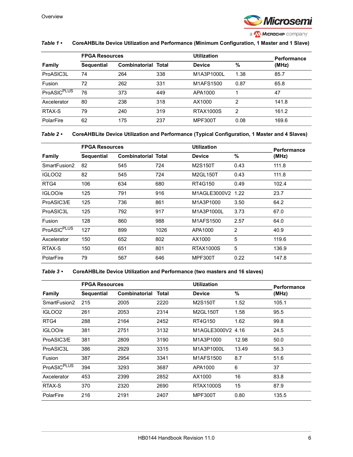

#### *Table 1 •* **CoreAHBLite Device Utilization and Performance (Minimum Configuration, 1 Master and 1 Slave)**

|                    | <b>FPGA Resources</b> |                            |     | <b>Utilization</b> | Performance |       |
|--------------------|-----------------------|----------------------------|-----|--------------------|-------------|-------|
| <b>Family</b>      | <b>Sequential</b>     | <b>Combinatorial Total</b> |     | <b>Device</b>      | %           | (MHz) |
| ProASIC3L          | 74                    | 264                        | 338 | M1A3P1000L         | 1.38        | 85.7  |
| Fusion             | 72                    | 262                        | 331 | M1AFS1500          | 0.87        | 65.8  |
| <b>ProASICPLUS</b> | 76                    | 373                        | 449 | APA1000            |             | 47    |
| Axcelerator        | 80                    | 238                        | 318 | AX1000             | 2           | 141.8 |
| RTAX-S             | 79                    | 240                        | 319 | <b>RTAX1000S</b>   | 2           | 161.2 |
| PolarFire          | 62                    | 175                        | 237 | <b>MPF300T</b>     | 0.08        | 169.6 |

#### <span id="page-10-0"></span>*Table 2 •* **CoreAHBLite Device Utilization and Performance (Typical Configuration, 1 Master and 4 Slaves)**

|                         | <b>FPGA Resources</b> |                            |      | <b>Utilization</b> |      | <b>Performance</b> |
|-------------------------|-----------------------|----------------------------|------|--------------------|------|--------------------|
| Family                  | <b>Sequential</b>     | <b>Combinatorial Total</b> |      | <b>Device</b>      | %    | (MHz)              |
| SmartFusion2            | 82                    | 545                        | 724  | M2S150T            | 0.43 | 111.8              |
| IGLOO <sub>2</sub>      | 82                    | 545                        | 724  | M2GL150T           | 0.43 | 111.8              |
| RTG4                    | 106                   | 634                        | 680  | RT4G150            | 0.49 | 102.4              |
| IGLOO/e                 | 125                   | 791                        | 916  | M1AGLE3000V2 1.22  |      | 23.7               |
| ProASIC3/E              | 125                   | 736                        | 861  | M1A3P1000          | 3.50 | 64.2               |
| ProASIC3L               | 125                   | 792                        | 917  | M1A3P1000L         | 3.73 | 67.0               |
| Fusion                  | 128                   | 860                        | 988  | M1AFS1500          | 2.57 | 64.0               |
| ProASIC <sup>PLUS</sup> | 127                   | 899                        | 1026 | APA1000            | 2    | 40.9               |
| Axcelerator             | 150                   | 652                        | 802  | AX1000             | 5    | 119.6              |
| RTAX-S                  | 150                   | 651                        | 801  | <b>RTAX1000S</b>   | 5    | 136.9              |
| PolarFire               | 79                    | 567                        | 646  | MPF300T            | 0.22 | 147.8              |

#### <span id="page-10-1"></span>*Table 3 •* **CoreAHBLite Device Utilization and Performance (two masters and 16 slaves)**

|                         | <b>FPGA Resources</b> |               |       | <b>Utilization</b> |       | Performance |
|-------------------------|-----------------------|---------------|-------|--------------------|-------|-------------|
| <b>Family</b>           | <b>Sequential</b>     | Combinatorial | Total | <b>Device</b>      | %     | (MHz)       |
| SmartFusion2            | 215                   | 2005          | 2220  | M2S150T            | 1.52  | 105.1       |
| IGLOO <sub>2</sub>      | 261                   | 2053          | 2314  | M2GL150T           | 1.58  | 95.5        |
| RTG4                    | 288                   | 2164          | 2452  | RT4G150            | 1.62  | 99.8        |
| IGLOO/e                 | 381                   | 2751          | 3132  | M1AGLE3000V2 4.16  |       | 24.5        |
| ProASIC3/E              | 381                   | 2809          | 3190  | M1A3P1000          | 12.98 | 50.0        |
| ProASIC3L               | 386                   | 2929          | 3315  | M1A3P1000L         | 13.49 | 56.3        |
| Fusion                  | 387                   | 2954          | 3341  | M1AFS1500          | 8.7   | 51.6        |
| ProASIC <sup>PLUS</sup> | 394                   | 3293          | 3687  | APA1000            | 6     | 37          |
| Axcelerator             | 453                   | 2399          | 2852  | AX1000             | 16    | 83.8        |
| RTAX-S                  | 370                   | 2320          | 2690  | <b>RTAX1000S</b>   | 15    | 87.9        |
| PolarFire               | 216                   | 2191          | 2407  | MPF300T            | 0.80  | 135.5       |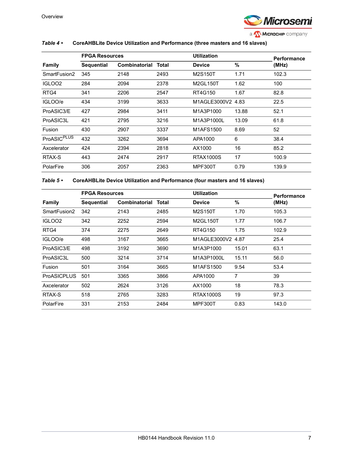

#### <span id="page-11-0"></span>*Table 4 •* **CoreAHBLite Device Utilization and Performance (three masters and 16 slaves)**

|                         | <b>FPGA Resources</b> |               |       | <b>Utilization</b> |       | <b>Performance</b> |
|-------------------------|-----------------------|---------------|-------|--------------------|-------|--------------------|
| <b>Family</b>           | <b>Sequential</b>     | Combinatorial | Total | <b>Device</b>      | %     | (MHz)              |
| SmartFusion2            | 345                   | 2148          | 2493  | M2S150T            | 1.71  | 102.3              |
| IGLOO <sub>2</sub>      | 284                   | 2094          | 2378  | M2GL150T           | 1.62  | 100                |
| RTG4                    | 341                   | 2206          | 2547  | RT4G150            | 1.67  | 82.8               |
| IGLOO/e                 | 434                   | 3199          | 3633  | M1AGLE3000V2 4.83  |       | 22.5               |
| ProASIC3/E              | 427                   | 2984          | 3411  | M1A3P1000          | 13.88 | 52.1               |
| ProASIC3L               | 421                   | 2795          | 3216  | M1A3P1000L         | 13.09 | 61.8               |
| Fusion                  | 430                   | 2907          | 3337  | M1AFS1500          | 8.69  | 52                 |
| ProASIC <sup>PLUS</sup> | 432                   | 3262          | 3694  | APA1000            | 6     | 38.4               |
| Axcelerator             | 424                   | 2394          | 2818  | AX1000             | 16    | 85.2               |
| RTAX-S                  | 443                   | 2474          | 2917  | <b>RTAX1000S</b>   | 17    | 100.9              |
| PolarFire               | 306                   | 2057          | 2363  | <b>MPF300T</b>     | 0.79  | 139.9              |

<span id="page-11-1"></span>*Table 5 •* **CoreAHBLite Device Utilization and Performance (four masters and 16 slaves)**

|                    |                   | <b>FPGA Resources</b> |       |                   | <b>Utilization</b> |                             |
|--------------------|-------------------|-----------------------|-------|-------------------|--------------------|-----------------------------|
| <b>Family</b>      | <b>Sequential</b> | Combinatorial         | Total | <b>Device</b>     | %                  | <b>Performance</b><br>(MHz) |
| SmartFusion2       | 342               | 2143                  | 2485  | M2S150T           | 1.70               | 105.3                       |
| IGLOO <sub>2</sub> | 342               | 2252                  | 2594  | M2GL150T          | 1.77               | 106.7                       |
| RTG4               | 374               | 2275                  | 2649  | RT4G150           | 1.75               | 102.9                       |
| IGLOO/e            | 498               | 3167                  | 3665  | M1AGLE3000V2 4.87 |                    | 25.4                        |
| ProASIC3/E         | 498               | 3192                  | 3690  | M1A3P1000         | 15.01              | 63.1                        |
| ProASIC3L          | 500               | 3214                  | 3714  | M1A3P1000L        | 15.11              | 56.0                        |
| Fusion             | 501               | 3164                  | 3665  | M1AFS1500         | 9.54               | 53.4                        |
| <b>ProASICPLUS</b> | 501               | 3365                  | 3866  | APA1000           | 7                  | 39                          |
| Axcelerator        | 502               | 2624                  | 3126  | AX1000            | 18                 | 78.3                        |
| RTAX-S             | 518               | 2765                  | 3283  | <b>RTAX1000S</b>  | 19                 | 97.3                        |
| PolarFire          | 331               | 2153                  | 2484  | <b>MPF300T</b>    | 0.83               | 143.0                       |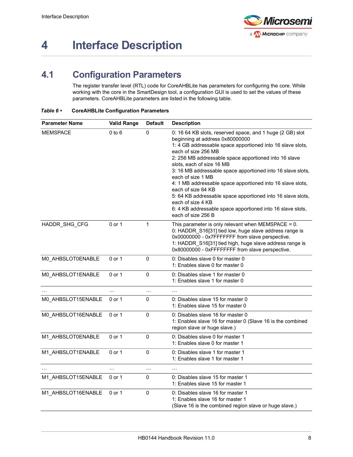

# <span id="page-12-0"></span>**4 Interface Description**

# <span id="page-12-1"></span>**4.1 Configuration Parameters**

<span id="page-12-3"></span>The register transfer level (RTL) code for CoreAHBLite has parameters for configuring the core. While working with the core in the SmartDesign tool, a configuration GUI is used to set the values of these parameters. CoreAHBLite parameters are listed in the following table.

| <b>Parameter Name</b> | <b>Valid Range</b> | <b>Default</b> | <b>Description</b>                                                                                                                                                                                                                                                                                                                                                                                                                                                                                                                                                                                                      |
|-----------------------|--------------------|----------------|-------------------------------------------------------------------------------------------------------------------------------------------------------------------------------------------------------------------------------------------------------------------------------------------------------------------------------------------------------------------------------------------------------------------------------------------------------------------------------------------------------------------------------------------------------------------------------------------------------------------------|
| <b>MEMSPACE</b>       | $0$ to $6$         | $\Omega$       | 0: 16 64 KB slots, reserved space, and 1 huge (2 GB) slot<br>beginning at address 0x80000000<br>1: 4 GB addressable space apportioned into 16 slave slots,<br>each of size 256 MB<br>2: 256 MB addressable space apportioned into 16 slave<br>slots, each of size 16 MB<br>3: 16 MB addressable space apportioned into 16 slave slots,<br>each of size 1 MB<br>4: 1 MB addressable space apportioned into 16 slave slots,<br>each of size 64 KB<br>5: 64 KB addressable space apportioned into 16 slave slots,<br>each of size 4 KB<br>6: 4 KB addressable space apportioned into 16 slave slots,<br>each of size 256 B |
| HADDR SHG CFG         | 0 or 1             | 1              | This parameter is only relevant when MEMSPACE = $0$ .<br>0: HADDR_S16[31] tied low, huge slave address range is<br>0x00000000 - 0x7FFFFFFF from slave perspective.<br>1: HADDR_S16[31] tied high, huge slave address range is<br>0x80000000 - 0xFFFFFFFF from slave perspective.                                                                                                                                                                                                                                                                                                                                        |
| M0_AHBSLOT0ENABLE     | 0 or 1             | $\Omega$       | 0: Disables slave 0 for master 0<br>1: Enables slave 0 for master 0                                                                                                                                                                                                                                                                                                                                                                                                                                                                                                                                                     |
| M0_AHBSLOT1ENABLE     | 0 or 1             | 0              | 0: Disables slave 1 for master 0<br>1: Enables slave 1 for master 0                                                                                                                                                                                                                                                                                                                                                                                                                                                                                                                                                     |
| $\ddotsc$             | $\ldots$           | .              | $\cdot$                                                                                                                                                                                                                                                                                                                                                                                                                                                                                                                                                                                                                 |
| M0 AHBSLOT15ENABLE    | 0 or 1             | 0              | 0: Disables slave 15 for master 0<br>1: Enables slave 15 for master 0                                                                                                                                                                                                                                                                                                                                                                                                                                                                                                                                                   |
| M0_AHBSLOT16ENABLE    | 0 or 1             | 0              | 0: Disables slave 16 for master 0<br>1: Enables slave 16 for master 0 (Slave 16 is the combined<br>region slave or huge slave.)                                                                                                                                                                                                                                                                                                                                                                                                                                                                                         |
| M1_AHBSLOT0ENABLE     | 0 or 1             | 0              | 0: Disables slave 0 for master 1<br>1: Enables slave 0 for master 1                                                                                                                                                                                                                                                                                                                                                                                                                                                                                                                                                     |
| M1_AHBSLOT1ENABLE     | 0 or 1             | 0              | 0: Disables slave 1 for master 1<br>1: Enables slave 1 for master 1                                                                                                                                                                                                                                                                                                                                                                                                                                                                                                                                                     |
| $\cdots$              | $\cdots$           | $\cdots$       | $\ddotsc$                                                                                                                                                                                                                                                                                                                                                                                                                                                                                                                                                                                                               |
| M1 AHBSLOT15ENABLE    | 0 or 1             | $\mathbf{0}$   | 0: Disables slave 15 for master 1<br>1: Enables slave 15 for master 1                                                                                                                                                                                                                                                                                                                                                                                                                                                                                                                                                   |
| M1 AHBSLOT16ENABLE    | 0 or 1             | $\mathbf 0$    | 0: Disables slave 16 for master 1<br>1: Enables slave 16 for master 1<br>(Slave 16 is the combined region slave or huge slave.)                                                                                                                                                                                                                                                                                                                                                                                                                                                                                         |

#### <span id="page-12-2"></span>*Table 6 •* **CoreAHBLite Configuration Parameters**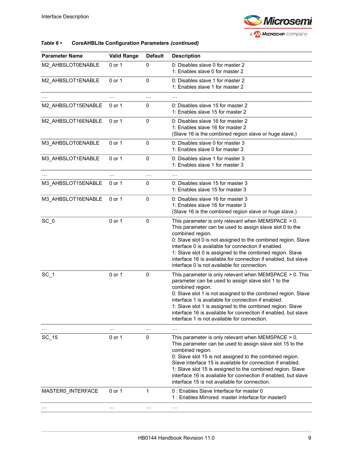

#### *Table 6 •* **CoreAHBLite Configuration Parameters** *(continued)*

| <b>Parameter Name</b> | <b>Valid Range</b> | <b>Default</b> | <b>Description</b>                                                                                                                                                                                                                                                                                                                                                                                                                                |
|-----------------------|--------------------|----------------|---------------------------------------------------------------------------------------------------------------------------------------------------------------------------------------------------------------------------------------------------------------------------------------------------------------------------------------------------------------------------------------------------------------------------------------------------|
| M2_AHBSLOT0ENABLE     | $0$ or $1$         | 0              | 0: Disables slave 0 for master 2<br>1: Enables slave 0 for master 2                                                                                                                                                                                                                                                                                                                                                                               |
| M2 AHBSLOT1ENABLE     | $0$ or $1$         | 0              | 0: Disables slave 1 for master 2<br>1: Enables slave 1 for master 2                                                                                                                                                                                                                                                                                                                                                                               |
|                       | $\cdots$           | $\cdots$       |                                                                                                                                                                                                                                                                                                                                                                                                                                                   |
| M2_AHBSLOT15ENABLE    | 0 or 1             | 0              | 0: Disables slave 15 for master 2<br>1: Enables slave 15 for master 2                                                                                                                                                                                                                                                                                                                                                                             |
| M2_AHBSLOT16ENABLE    | 0 or 1             | 0              | 0: Disables slave 16 for master 2<br>1: Enables slave 16 for master 2<br>(Slave 16 is the combined region slave or huge slave.)                                                                                                                                                                                                                                                                                                                   |
| M3_AHBSLOT0ENABLE     | $0$ or $1$         | 0              | 0: Disables slave 0 for master 3<br>1: Enables slave 0 for master 3                                                                                                                                                                                                                                                                                                                                                                               |
| M3_AHBSLOT1ENABLE     | 0 or 1             | $\mathbf 0$    | 0: Disables slave 1 for master 3<br>1: Enables slave 1 for master 3                                                                                                                                                                                                                                                                                                                                                                               |
| $\cdots$              | $\cdots$           | $\cdots$       | $\ddotsc$                                                                                                                                                                                                                                                                                                                                                                                                                                         |
| M3 AHBSLOT15ENABLE    | 0 or 1             | 0              | 0: Disables slave 15 for master 3<br>1: Enables slave 15 for master 3                                                                                                                                                                                                                                                                                                                                                                             |
| M3_AHBSLOT16ENABLE    | $0$ or $1$         | 0              | 0: Disables slave 16 for master 3<br>1: Enables slave 16 for master 3<br>(Slave 16 is the combined region slave or huge slave.)                                                                                                                                                                                                                                                                                                                   |
| $SC_0$                | 0 or 1             | $\mathbf 0$    | This parameter is only relevant when $MEMSPACE > 0$ .<br>This parameter can be used to assign slave slot 0 to the<br>combined region.<br>0: Slave slot 0 is not assigned to the combined region. Slave<br>interface 0 is available for connection if enabled.<br>1: Slave slot 0 is assigned to the combined region. Slave<br>interface 16 is available for connection if enabled, but slave<br>interface 0 is not available for connection.      |
| $SC_1$                | 0 or 1             | $\Omega$       | This parameter is only relevant when $MEMSPACE > 0$ . This<br>parameter can be used to assign slave slot 1 to the<br>combined region.<br>0: Slave slot 1 is not assigned to the combined region. Slave<br>interface 1 is available for connection if enabled.<br>1: Slave slot 1 is assigned to the combined region. Slave<br>interface 16 is available for connection if enabled, but slave<br>interface 1 is not available for connection.      |
|                       | $\cdots$           | $\ddotsc$      |                                                                                                                                                                                                                                                                                                                                                                                                                                                   |
| $SC_{15}$             | 0 or 1             | 0              | This parameter is only relevant when MEMSPACE $> 0$ .<br>This parameter can be used to assign slave slot 15 to the<br>combined region.<br>0: Slave slot 15 is not assigned to the combined region.<br>Slave interface 15 is available for connection if enabled.<br>1: Slave slot 15 is assigned to the combined region. Slave<br>interface 16 is available for connection if enabled, but slave<br>interface 15 is not available for connection. |
| MASTER0_INTERFACE     | 0 or 1             | 1              | 0 : Enables Slave Interface for master 0<br>1: Enables Mirrored master interface for master0                                                                                                                                                                                                                                                                                                                                                      |
|                       | $\cdots$           | $\ddotsc$      | $\cdots$                                                                                                                                                                                                                                                                                                                                                                                                                                          |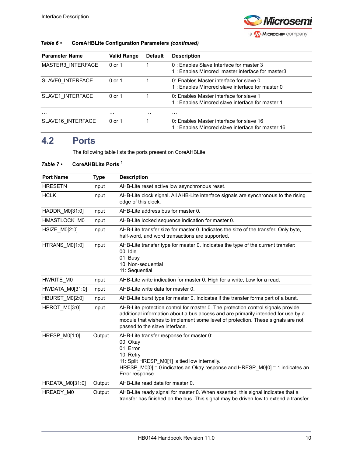

| Table $6 \cdot$ | <b>CoreAHBLite Configuration Parameters (continued)</b> |  |
|-----------------|---------------------------------------------------------|--|
|-----------------|---------------------------------------------------------|--|

| <b>Parameter Name</b> | <b>Valid Range</b> | <b>Default</b> | <b>Description</b>                                                                            |
|-----------------------|--------------------|----------------|-----------------------------------------------------------------------------------------------|
| MASTER3 INTERFACE     | 0 or 1             |                | 0 : Fnables Slave Interface for master 3<br>1: Enables Mirrored master interface for master3  |
| SLAVE0 INTERFACE      | 0 or 1             |                | 0: Enables Master interface for slave 0<br>1: Enables Mirrored slave interface for master 0   |
| SLAVE1 INTERFACE      | $0$ or 1           |                | 0: Enables Master interface for slave 1<br>1: Enables Mirrored slave interface for master 1   |
| $\cdots$              | .                  | $\cdots$       | .                                                                                             |
| SLAVE16 INTERFACE     | $0$ or 1           |                | 0: Enables Master interface for slave 16<br>1: Enables Mirrored slave interface for master 16 |

# <span id="page-14-0"></span>**4.2 Ports**

The following table lists the ports present on CoreAHBLite.

### <span id="page-14-1"></span>*Table 7 •* **CoreAHBLite Ports 1**

| <b>Port Name</b>     | <b>Type</b> | <b>Description</b>                                                                                                                                                                                                                                                                         |
|----------------------|-------------|--------------------------------------------------------------------------------------------------------------------------------------------------------------------------------------------------------------------------------------------------------------------------------------------|
| <b>HRESETN</b>       | Input       | AHB-Lite reset active low asynchronous reset.                                                                                                                                                                                                                                              |
| <b>HCLK</b>          | Input       | AHB-Lite clock signal. All AHB-Lite interface signals are synchronous to the rising<br>edge of this clock.                                                                                                                                                                                 |
| HADDR_M0[31:0]       | Input       | AHB-Lite address bus for master 0.                                                                                                                                                                                                                                                         |
| HMASTLOCK M0         | Input       | AHB-Lite locked sequence indication for master 0.                                                                                                                                                                                                                                          |
| <b>HSIZE M0[2:0]</b> | Input       | AHB-Lite transfer size for master 0. Indicates the size of the transfer. Only byte,<br>half-word, and word transactions are supported.                                                                                                                                                     |
| HTRANS M0[1:0]       | Input       | AHB-Lite transfer type for master 0. Indicates the type of the current transfer:<br>$00:$ Idle<br>01: Busy<br>10: Non-sequential<br>11: Sequential                                                                                                                                         |
| HWRITE M0            | Input       | AHB-Lite write indication for master 0. High for a write, Low for a read.                                                                                                                                                                                                                  |
| HWDATA M0[31:0]      | Input       | AHB-Lite write data for master 0.                                                                                                                                                                                                                                                          |
| HBURST_M0[2:0]       | Input       | AHB-Lite burst type for master 0. Indicates if the transfer forms part of a burst.                                                                                                                                                                                                         |
| HPROT M0[3:0]        | Input       | AHB-Lite protection control for master 0. The protection control signals provide<br>additional information about a bus access and are primarily intended for use by a<br>module that wishes to implement some level of protection. These signals are not<br>passed to the slave interface. |
| HRESP_M0[1:0]        | Output      | AHB-Lite transfer response for master 0:<br>00: Okay<br>01: Error<br>10: Retry<br>11: Split HRESP_M0[1] is tied low internally.<br>HRESP_M0[0] = 0 indicates an Okay response and HRESP_M0[0] = 1 indicates an<br>Error response.                                                          |
| HRDATA_M0[31:0]      | Output      | AHB-Lite read data for master 0.                                                                                                                                                                                                                                                           |
| HREADY_M0            | Output      | AHB-Lite ready signal for master 0. When asserted, this signal indicates that a<br>transfer has finished on the bus. This signal may be driven low to extend a transfer.                                                                                                                   |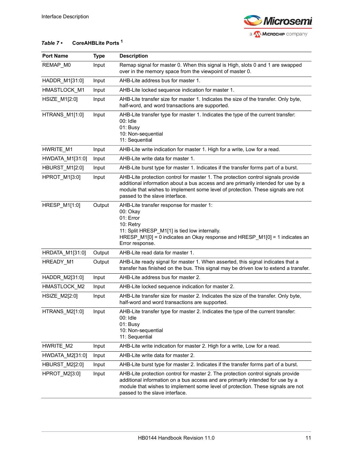

### *Table 7 •* **CoreAHBLite Ports 1**

| <b>Port Name</b>      | <b>Type</b> | <b>Description</b>                                                                                                                                                                                                                                                                         |
|-----------------------|-------------|--------------------------------------------------------------------------------------------------------------------------------------------------------------------------------------------------------------------------------------------------------------------------------------------|
| REMAP_M0              | Input       | Remap signal for master 0. When this signal is High, slots 0 and 1 are swapped<br>over in the memory space from the viewpoint of master 0.                                                                                                                                                 |
| HADDR_M1[31:0]        | Input       | AHB-Lite address bus for master 1.                                                                                                                                                                                                                                                         |
| HMASTLOCK_M1          | Input       | AHB-Lite locked sequence indication for master 1.                                                                                                                                                                                                                                          |
| HSIZE_M1[2:0]         | Input       | AHB-Lite transfer size for master 1. Indicates the size of the transfer. Only byte,<br>half-word, and word transactions are supported.                                                                                                                                                     |
| HTRANS_M1[1:0]        | Input       | AHB-Lite transfer type for master 1. Indicates the type of the current transfer:<br>00: Idle<br>01: Busy<br>10: Non-sequential<br>11: Sequential                                                                                                                                           |
| HWRITE_M1             | Input       | AHB-Lite write indication for master 1. High for a write, Low for a read.                                                                                                                                                                                                                  |
| HWDATA_M1[31:0]       | Input       | AHB-Lite write data for master 1.                                                                                                                                                                                                                                                          |
| <b>HBURST_M1[2:0]</b> | Input       | AHB-Lite burst type for master 1. Indicates if the transfer forms part of a burst.                                                                                                                                                                                                         |
| HPROT_M1[3:0]         | Input       | AHB-Lite protection control for master 1. The protection control signals provide<br>additional information about a bus access and are primarily intended for use by a<br>module that wishes to implement some level of protection. These signals are not<br>passed to the slave interface. |
| HRESP_M1[1:0]         | Output      | AHB-Lite transfer response for master 1:<br>00: Okay<br>01: Error<br>10: Retry<br>11: Split HRESP_M1[1] is tied low internally.<br>HRESP_M1[0] = 0 indicates an Okay response and HRESP_M1[0] = 1 indicates an<br>Error response.                                                          |
| HRDATA_M1[31:0]       | Output      | AHB-Lite read data for master 1.                                                                                                                                                                                                                                                           |
| HREADY_M1             | Output      | AHB-Lite ready signal for master 1. When asserted, this signal indicates that a<br>transfer has finished on the bus. This signal may be driven low to extend a transfer.                                                                                                                   |
| HADDR M2[31:0]        | Input       | AHB-Lite address bus for master 2.                                                                                                                                                                                                                                                         |
| HMASTLOCK_M2          | Input       | AHB-Lite locked sequence indication for master 2.                                                                                                                                                                                                                                          |
| HSIZE_M2[2:0]         | Input       | AHB-Lite transfer size for master 2. Indicates the size of the transfer. Only byte,<br>half-word and word transactions are supported.                                                                                                                                                      |
| HTRANS_M2[1:0]        | Input       | AHB-Lite transfer type for master 2. Indicates the type of the current transfer:<br>00: Idle<br>01: Busy<br>10: Non-sequential<br>11: Sequential                                                                                                                                           |
| HWRITE M2             | Input       | AHB-Lite write indication for master 2. High for a write, Low for a read.                                                                                                                                                                                                                  |
| HWDATA_M2[31:0]       | Input       | AHB-Lite write data for master 2.                                                                                                                                                                                                                                                          |
| HBURST_M2[2:0]        | Input       | AHB-Lite burst type for master 2. Indicates if the transfer forms part of a burst.                                                                                                                                                                                                         |
| HPROT_M2[3:0]         | Input       | AHB-Lite protection control for master 2. The protection control signals provide<br>additional information on a bus access and are primarily intended for use by a<br>module that wishes to implement some level of protection. These signals are not<br>passed to the slave interface.    |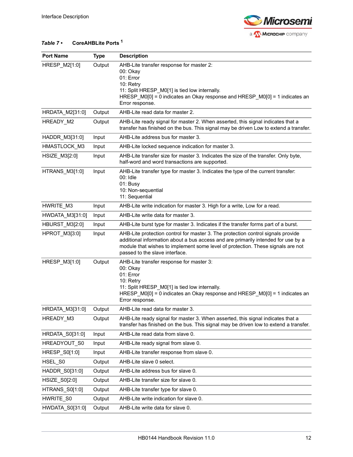

### *Table 7 •* **CoreAHBLite Ports 1**

| <b>Port Name</b> | <b>Type</b> | <b>Description</b>                                                                                                                                                                                                                                                                         |
|------------------|-------------|--------------------------------------------------------------------------------------------------------------------------------------------------------------------------------------------------------------------------------------------------------------------------------------------|
| HRESP_M2[1:0]    | Output      | AHB-Lite transfer response for master 2:<br>00: Okay<br>01: Error<br>10: Retry<br>11: Split HRESP_M0[1] is tied low internally.<br>HRESP_M0[0] = 0 indicates an Okay response and HRESP_M0[0] = 1 indicates an<br>Error response.                                                          |
| HRDATA_M2[31:0]  | Output      | AHB-Lite read data for master 2.                                                                                                                                                                                                                                                           |
| HREADY_M2        | Output      | AHB-Lite ready signal for master 2. When asserted, this signal indicates that a<br>transfer has finished on the bus. This signal may be driven Low to extend a transfer.                                                                                                                   |
| HADDR_M3[31:0]   | Input       | AHB-Lite address bus for master 3.                                                                                                                                                                                                                                                         |
| HMASTLOCK_M3     | Input       | AHB-Lite locked sequence indication for master 3.                                                                                                                                                                                                                                          |
| HSIZE_M3[2:0]    | Input       | AHB-Lite transfer size for master 3. Indicates the size of the transfer. Only byte,<br>half-word and word transactions are supported.                                                                                                                                                      |
| HTRANS_M3[1:0]   | Input       | AHB-Lite transfer type for master 3. Indicates the type of the current transfer:<br>$00:$ Idle<br>01: Busy<br>10: Non-sequential<br>11: Sequential                                                                                                                                         |
| HWRITE_M3        | Input       | AHB-Lite write indication for master 3. High for a write, Low for a read.                                                                                                                                                                                                                  |
| HWDATA_M3[31:0]  | Input       | AHB-Lite write data for master 3.                                                                                                                                                                                                                                                          |
| HBURST_M3[2:0]   | Input       | AHB-Lite burst type for master 3. Indicates if the transfer forms part of a burst.                                                                                                                                                                                                         |
| HPROT_M3[3:0]    | Input       | AHB-Lite protection control for master 3. The protection control signals provide<br>additional information about a bus access and are primarily intended for use by a<br>module that wishes to implement some level of protection. These signals are not<br>passed to the slave interface. |
| HRESP_M3[1:0]    | Output      | AHB-Lite transfer response for master 3:<br>00: Okay<br>01: Error<br>10: Retry<br>11: Split HRESP_M0[1] is tied low internally.<br>HRESP_M0[0] = 0 indicates an Okay response and HRESP_M0[0] = 1 indicates an<br>Error response.                                                          |
| HRDATA_M3[31:0]  | Output      | AHB-Lite read data for master 3.                                                                                                                                                                                                                                                           |
| HREADY_M3        | Output      | AHB-Lite ready signal for master 3. When asserted, this signal indicates that a<br>transfer has finished on the bus. This signal may be driven low to extend a transfer.                                                                                                                   |
| HRDATA_S0[31:0]  | Input       | AHB-Lite read data from slave 0.                                                                                                                                                                                                                                                           |
| HREADYOUT_S0     | Input       | AHB-Lite ready signal from slave 0.                                                                                                                                                                                                                                                        |
| HRESP_S0[1:0]    | Input       | AHB-Lite transfer response from slave 0.                                                                                                                                                                                                                                                   |
| HSEL_S0          | Output      | AHB-Lite slave 0 select.                                                                                                                                                                                                                                                                   |
| HADDR_S0[31:0]   | Output      | AHB-Lite address bus for slave 0.                                                                                                                                                                                                                                                          |
| HSIZE_S0[2:0]    | Output      | AHB-Lite transfer size for slave 0.                                                                                                                                                                                                                                                        |
| HTRANS_S0[1:0]   | Output      | AHB-Lite transfer type for slave 0.                                                                                                                                                                                                                                                        |
| HWRITE_S0        | Output      | AHB-Lite write indication for slave 0.                                                                                                                                                                                                                                                     |
| HWDATA_S0[31:0]  | Output      | AHB-Lite write data for slave 0.                                                                                                                                                                                                                                                           |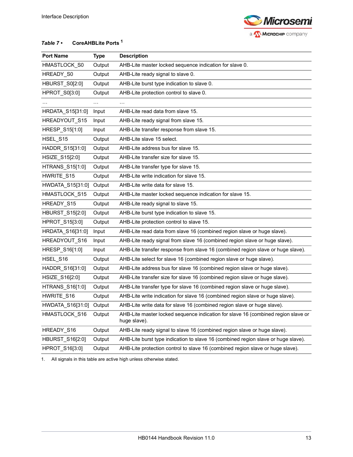

### *Table 7 •* **CoreAHBLite Ports 1**

| <b>Port Name</b> | <b>Type</b> | <b>Description</b>                                                                                |
|------------------|-------------|---------------------------------------------------------------------------------------------------|
| HMASTLOCK_S0     | Output      | AHB-Lite master locked sequence indication for slave 0.                                           |
| HREADY_S0        | Output      | AHB-Lite ready signal to slave 0.                                                                 |
| HBURST S0[2:0]   | Output      | AHB-Lite burst type indication to slave 0.                                                        |
| HPROT_S0[3:0]    | Output      | AHB-Lite protection control to slave 0.                                                           |
|                  | $\cdots$    | $\ldots$                                                                                          |
| HRDATA_S15[31:0] | Input       | AHB-Lite read data from slave 15.                                                                 |
| HREADYOUT_S15    | Input       | AHB-Lite ready signal from slave 15.                                                              |
| HRESP_S15[1:0]   | Input       | AHB-Lite transfer response from slave 15.                                                         |
| HSEL_S15         | Output      | AHB-Lite slave 15 select.                                                                         |
| HADDR_S15[31:0]  | Output      | AHB-Lite address bus for slave 15.                                                                |
| HSIZE_S15[2:0]   | Output      | AHB-Lite transfer size for slave 15.                                                              |
| HTRANS_S15[1:0]  | Output      | AHB-Lite transfer type for slave 15.                                                              |
| HWRITE S15       | Output      | AHB-Lite write indication for slave 15.                                                           |
| HWDATA_S15[31:0] | Output      | AHB-Lite write data for slave 15.                                                                 |
| HMASTLOCK S15    | Output      | AHB-Lite master locked sequence indication for slave 15.                                          |
| HREADY_S15       | Output      | AHB-Lite ready signal to slave 15.                                                                |
| HBURST_S15[2:0]  | Output      | AHB-Lite burst type indication to slave 15.                                                       |
| HPROT_S15[3:0]   | Output      | AHB-Lite protection control to slave 15.                                                          |
| HRDATA_S16[31:0] | Input       | AHB-Lite read data from slave 16 (combined region slave or huge slave).                           |
| HREADYOUT_S16    | Input       | AHB-Lite ready signal from slave 16 (combined region slave or huge slave).                        |
| HRESP_S16[1:0]   | Input       | AHB-Lite transfer response from slave 16 (combined region slave or huge slave).                   |
| HSEL_S16         | Output      | AHB-Lite select for slave 16 (combined region slave or huge slave).                               |
| HADDR_S16[31:0]  | Output      | AHB-Lite address bus for slave 16 (combined region slave or huge slave).                          |
| HSIZE_S16[2:0]   | Output      | AHB-Lite transfer size for slave 16 (combined region slave or huge slave).                        |
| HTRANS_S16[1:0]  | Output      | AHB-Lite transfer type for slave 16 (combined region slave or huge slave).                        |
| HWRITE_S16       | Output      | AHB-Lite write indication for slave 16 (combined region slave or huge slave).                     |
| HWDATA_S16[31:0] | Output      | AHB-Lite write data for slave 16 (combined region slave or huge slave).                           |
| HMASTLOCK_S16    | Output      | AHB-Lite master locked sequence indication for slave 16 (combined region slave or<br>huge slave). |
| HREADY_S16       | Output      | AHB-Lite ready signal to slave 16 (combined region slave or huge slave).                          |
| HBURST_S16[2:0]  | Output      | AHB-Lite burst type indication to slave 16 (combined region slave or huge slave).                 |
| HPROT_S16[3:0]   | Output      | AHB-Lite protection control to slave 16 (combined region slave or huge slave).                    |

1. All signals in this table are active high unless otherwise stated.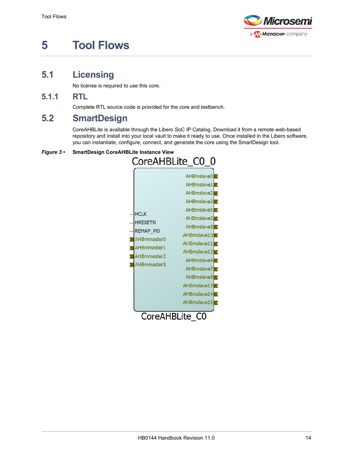

# <span id="page-18-0"></span>**5 Tool Flows**

# <span id="page-18-1"></span>**5.1 Licensing**

No license is required to use this core.

### <span id="page-18-2"></span>**5.1.1 RTL**

Complete RTL source code is provided for the core and testbench.

# <span id="page-18-3"></span>**5.2 SmartDesign**

CoreAHBLite is available through the Libero SoC IP Catalog. Download it from a remote web-based repository and install into your local vault to make it ready to use. Once installed in the Libero software, you can instantiate, configure, connect, and generate the core using the SmartDesign tool.

#### <span id="page-18-4"></span>*Figure 3 •* **SmartDesign CoreAHBLite Instance View**

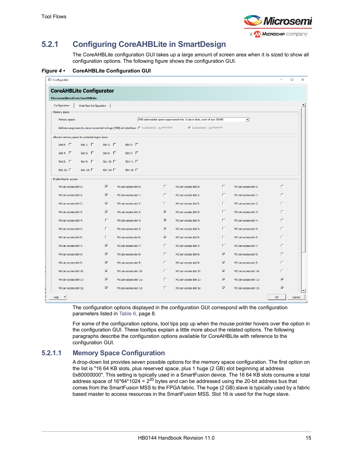

# <span id="page-19-0"></span>**5.2.1 Configuring CoreAHBLite in SmartDesign**

The CoreAHBLite configuration GUI takes up a large amount of screen area when it is sized to show all configuration options. The following figure shows the configuration GUI.

<span id="page-19-1"></span>*Figure 4 •* **CoreAHBLite Configuration GUI**

| <b>CoreAHBLite Configurator</b><br>Microsemi:DirectCore:CoreAHBLite:<br>Configuration<br><b>Interface Configuration</b><br>Memory space<br>4GB addressable space apportioned into 16 slave slots, each of size 256MB<br>$\blacktriangledown$<br>Memory space:<br>Address range seen by slave connected to huge (2GB) slot interface: C 0x00000000 - 0x7FFFFFFF<br>C 0x80000000 - 0xFFFFFFFF<br>Allocate memory space to combined region slave<br>Slot 1: $\Gamma$<br>Slot 0: $\Gamma$<br>Slot 2: $\Gamma$<br>Slot 3: $\Gamma$<br>Slot 6: $\Gamma$<br>Slot 4: $\Gamma$<br>Slot 5: $\Gamma$<br>Slot 7: $\Gamma$<br>Slot 8: $\Gamma$<br>Slot 9: $\Gamma$<br>Slot 10: $\Gamma$<br>Slot 11: $\Gamma$<br>Slot 12: $\Gamma$<br>Slot 13: $\Box$<br>Slot 14: $\Gamma$<br>Slot 15: $\Gamma$<br>Enable Master access<br>$\overline{\mathbf{v}}$<br>П.<br>$\Box$<br>П<br>MO can access slot 0:<br>M1 can access slot 0:<br>M2 can access slot 0:<br>M3 can access slot 0:<br>$\overline{\mathbf{v}}$<br>П.<br>П.<br>П<br>M2 can access slot 1:<br>M0 can access slot 1:<br>M1 can access slot 1:<br>M3 can access slot 1:<br>$\overline{\mathbf{v}}$<br>П.<br>П.<br>г<br>M0 can access slot 2:<br>M1 can access slot 2:<br>M2 can access slot 2:<br>M3 can access slot 2:<br>$\overline{\mathbf{v}}$<br>$\overline{\mathbf{v}}$<br>П.<br>$\Box$<br>M0 can access slot 3:<br>M1 can access slot 3:<br>M2 can access slot 3:<br>M3 can access slot 3:<br>П.<br>П.<br>$\overline{\mathbf{v}}$<br>г<br>M0 can access slot 4:<br>M1 can access slot 4:<br>M2 can access slot 4:<br>M3 can access slot 4:<br>п<br>$\overline{\mathbf{v}}$<br>г<br>M1 can access slot 5:<br>M2 can access slot 5:<br>г<br>M3 can access slot 5:<br>MO can access slot 5:<br>$\Box$<br>$\overline{\mathbf{v}}$<br>П.<br>П<br>M0 can access slot 6:<br>M1 can access slot 6:<br>M2 can access slot 6:<br>M3 can access slot 6:<br>$\overline{\mathbf{v}}$<br>г.<br>г.<br>M3 can access slot 7:<br>$\Box$<br>M0 can access slot 7:<br>M1 can access slot 7:<br>M2 can access slot 7:<br>$\overline{\mathbf{v}}$<br>П.<br>$\overline{\mathbf{v}}$<br>П<br>M0 can access slot 8:<br>M1 can access slot 8:<br>M2 can access slot 8:<br>M3 can access slot 8:<br>$\overline{\mathbf{v}}$<br>$\overline{\mathbf{v}}$<br>П.<br>г<br>M0 can access slot 9:<br>M1 can access slot 9:<br>M2 can access slot 9:<br>M3 can access slot 9:<br>$\overline{\mathbf{v}}$<br>г.<br>$\overline{\mathbf{v}}$<br>г<br>MO can access slot 10:<br>M1 can access slot 10:<br>M2 can access slot 10:<br>M3 can access slot 10:<br>$\overline{\mathbf{v}}$<br>П.<br>$\overline{\mathbf{v}}$<br>M0 can access slot 11:<br>M1 can access slot 11:<br>M2 can access slot 11:<br>M3 can access slot 11:<br>⊽<br>$\overline{\mathbf{v}}$<br>$\overline{\mathbf{v}}$<br>П<br>$\overline{\mathbf{v}}$<br>M0 can access slot 12:<br>M1 can access slot 12:<br>M2 can access slot 12:<br>M3 can access slot 12:<br>OK<br>Cancel<br>Help | Configurator |  |  |  | □<br>$\times$ |
|------------------------------------------------------------------------------------------------------------------------------------------------------------------------------------------------------------------------------------------------------------------------------------------------------------------------------------------------------------------------------------------------------------------------------------------------------------------------------------------------------------------------------------------------------------------------------------------------------------------------------------------------------------------------------------------------------------------------------------------------------------------------------------------------------------------------------------------------------------------------------------------------------------------------------------------------------------------------------------------------------------------------------------------------------------------------------------------------------------------------------------------------------------------------------------------------------------------------------------------------------------------------------------------------------------------------------------------------------------------------------------------------------------------------------------------------------------------------------------------------------------------------------------------------------------------------------------------------------------------------------------------------------------------------------------------------------------------------------------------------------------------------------------------------------------------------------------------------------------------------------------------------------------------------------------------------------------------------------------------------------------------------------------------------------------------------------------------------------------------------------------------------------------------------------------------------------------------------------------------------------------------------------------------------------------------------------------------------------------------------------------------------------------------------------------------------------------------------------------------------------------------------------------------------------------------------------------------------------------------------------------------------------------------------------------------------------------------------------------------------------------------------------------------------------------------------------------------------------------------------------------------------------------------------------------------------------------------|--------------|--|--|--|---------------|
|                                                                                                                                                                                                                                                                                                                                                                                                                                                                                                                                                                                                                                                                                                                                                                                                                                                                                                                                                                                                                                                                                                                                                                                                                                                                                                                                                                                                                                                                                                                                                                                                                                                                                                                                                                                                                                                                                                                                                                                                                                                                                                                                                                                                                                                                                                                                                                                                                                                                                                                                                                                                                                                                                                                                                                                                                                                                                                                                                                  |              |  |  |  |               |
|                                                                                                                                                                                                                                                                                                                                                                                                                                                                                                                                                                                                                                                                                                                                                                                                                                                                                                                                                                                                                                                                                                                                                                                                                                                                                                                                                                                                                                                                                                                                                                                                                                                                                                                                                                                                                                                                                                                                                                                                                                                                                                                                                                                                                                                                                                                                                                                                                                                                                                                                                                                                                                                                                                                                                                                                                                                                                                                                                                  |              |  |  |  |               |
|                                                                                                                                                                                                                                                                                                                                                                                                                                                                                                                                                                                                                                                                                                                                                                                                                                                                                                                                                                                                                                                                                                                                                                                                                                                                                                                                                                                                                                                                                                                                                                                                                                                                                                                                                                                                                                                                                                                                                                                                                                                                                                                                                                                                                                                                                                                                                                                                                                                                                                                                                                                                                                                                                                                                                                                                                                                                                                                                                                  |              |  |  |  |               |
|                                                                                                                                                                                                                                                                                                                                                                                                                                                                                                                                                                                                                                                                                                                                                                                                                                                                                                                                                                                                                                                                                                                                                                                                                                                                                                                                                                                                                                                                                                                                                                                                                                                                                                                                                                                                                                                                                                                                                                                                                                                                                                                                                                                                                                                                                                                                                                                                                                                                                                                                                                                                                                                                                                                                                                                                                                                                                                                                                                  |              |  |  |  |               |
|                                                                                                                                                                                                                                                                                                                                                                                                                                                                                                                                                                                                                                                                                                                                                                                                                                                                                                                                                                                                                                                                                                                                                                                                                                                                                                                                                                                                                                                                                                                                                                                                                                                                                                                                                                                                                                                                                                                                                                                                                                                                                                                                                                                                                                                                                                                                                                                                                                                                                                                                                                                                                                                                                                                                                                                                                                                                                                                                                                  |              |  |  |  |               |
|                                                                                                                                                                                                                                                                                                                                                                                                                                                                                                                                                                                                                                                                                                                                                                                                                                                                                                                                                                                                                                                                                                                                                                                                                                                                                                                                                                                                                                                                                                                                                                                                                                                                                                                                                                                                                                                                                                                                                                                                                                                                                                                                                                                                                                                                                                                                                                                                                                                                                                                                                                                                                                                                                                                                                                                                                                                                                                                                                                  |              |  |  |  |               |
|                                                                                                                                                                                                                                                                                                                                                                                                                                                                                                                                                                                                                                                                                                                                                                                                                                                                                                                                                                                                                                                                                                                                                                                                                                                                                                                                                                                                                                                                                                                                                                                                                                                                                                                                                                                                                                                                                                                                                                                                                                                                                                                                                                                                                                                                                                                                                                                                                                                                                                                                                                                                                                                                                                                                                                                                                                                                                                                                                                  |              |  |  |  |               |
|                                                                                                                                                                                                                                                                                                                                                                                                                                                                                                                                                                                                                                                                                                                                                                                                                                                                                                                                                                                                                                                                                                                                                                                                                                                                                                                                                                                                                                                                                                                                                                                                                                                                                                                                                                                                                                                                                                                                                                                                                                                                                                                                                                                                                                                                                                                                                                                                                                                                                                                                                                                                                                                                                                                                                                                                                                                                                                                                                                  |              |  |  |  |               |
|                                                                                                                                                                                                                                                                                                                                                                                                                                                                                                                                                                                                                                                                                                                                                                                                                                                                                                                                                                                                                                                                                                                                                                                                                                                                                                                                                                                                                                                                                                                                                                                                                                                                                                                                                                                                                                                                                                                                                                                                                                                                                                                                                                                                                                                                                                                                                                                                                                                                                                                                                                                                                                                                                                                                                                                                                                                                                                                                                                  |              |  |  |  |               |
|                                                                                                                                                                                                                                                                                                                                                                                                                                                                                                                                                                                                                                                                                                                                                                                                                                                                                                                                                                                                                                                                                                                                                                                                                                                                                                                                                                                                                                                                                                                                                                                                                                                                                                                                                                                                                                                                                                                                                                                                                                                                                                                                                                                                                                                                                                                                                                                                                                                                                                                                                                                                                                                                                                                                                                                                                                                                                                                                                                  |              |  |  |  |               |
|                                                                                                                                                                                                                                                                                                                                                                                                                                                                                                                                                                                                                                                                                                                                                                                                                                                                                                                                                                                                                                                                                                                                                                                                                                                                                                                                                                                                                                                                                                                                                                                                                                                                                                                                                                                                                                                                                                                                                                                                                                                                                                                                                                                                                                                                                                                                                                                                                                                                                                                                                                                                                                                                                                                                                                                                                                                                                                                                                                  |              |  |  |  |               |
|                                                                                                                                                                                                                                                                                                                                                                                                                                                                                                                                                                                                                                                                                                                                                                                                                                                                                                                                                                                                                                                                                                                                                                                                                                                                                                                                                                                                                                                                                                                                                                                                                                                                                                                                                                                                                                                                                                                                                                                                                                                                                                                                                                                                                                                                                                                                                                                                                                                                                                                                                                                                                                                                                                                                                                                                                                                                                                                                                                  |              |  |  |  |               |
|                                                                                                                                                                                                                                                                                                                                                                                                                                                                                                                                                                                                                                                                                                                                                                                                                                                                                                                                                                                                                                                                                                                                                                                                                                                                                                                                                                                                                                                                                                                                                                                                                                                                                                                                                                                                                                                                                                                                                                                                                                                                                                                                                                                                                                                                                                                                                                                                                                                                                                                                                                                                                                                                                                                                                                                                                                                                                                                                                                  |              |  |  |  |               |
|                                                                                                                                                                                                                                                                                                                                                                                                                                                                                                                                                                                                                                                                                                                                                                                                                                                                                                                                                                                                                                                                                                                                                                                                                                                                                                                                                                                                                                                                                                                                                                                                                                                                                                                                                                                                                                                                                                                                                                                                                                                                                                                                                                                                                                                                                                                                                                                                                                                                                                                                                                                                                                                                                                                                                                                                                                                                                                                                                                  |              |  |  |  |               |
|                                                                                                                                                                                                                                                                                                                                                                                                                                                                                                                                                                                                                                                                                                                                                                                                                                                                                                                                                                                                                                                                                                                                                                                                                                                                                                                                                                                                                                                                                                                                                                                                                                                                                                                                                                                                                                                                                                                                                                                                                                                                                                                                                                                                                                                                                                                                                                                                                                                                                                                                                                                                                                                                                                                                                                                                                                                                                                                                                                  |              |  |  |  |               |
|                                                                                                                                                                                                                                                                                                                                                                                                                                                                                                                                                                                                                                                                                                                                                                                                                                                                                                                                                                                                                                                                                                                                                                                                                                                                                                                                                                                                                                                                                                                                                                                                                                                                                                                                                                                                                                                                                                                                                                                                                                                                                                                                                                                                                                                                                                                                                                                                                                                                                                                                                                                                                                                                                                                                                                                                                                                                                                                                                                  |              |  |  |  |               |
|                                                                                                                                                                                                                                                                                                                                                                                                                                                                                                                                                                                                                                                                                                                                                                                                                                                                                                                                                                                                                                                                                                                                                                                                                                                                                                                                                                                                                                                                                                                                                                                                                                                                                                                                                                                                                                                                                                                                                                                                                                                                                                                                                                                                                                                                                                                                                                                                                                                                                                                                                                                                                                                                                                                                                                                                                                                                                                                                                                  |              |  |  |  |               |
|                                                                                                                                                                                                                                                                                                                                                                                                                                                                                                                                                                                                                                                                                                                                                                                                                                                                                                                                                                                                                                                                                                                                                                                                                                                                                                                                                                                                                                                                                                                                                                                                                                                                                                                                                                                                                                                                                                                                                                                                                                                                                                                                                                                                                                                                                                                                                                                                                                                                                                                                                                                                                                                                                                                                                                                                                                                                                                                                                                  |              |  |  |  |               |
|                                                                                                                                                                                                                                                                                                                                                                                                                                                                                                                                                                                                                                                                                                                                                                                                                                                                                                                                                                                                                                                                                                                                                                                                                                                                                                                                                                                                                                                                                                                                                                                                                                                                                                                                                                                                                                                                                                                                                                                                                                                                                                                                                                                                                                                                                                                                                                                                                                                                                                                                                                                                                                                                                                                                                                                                                                                                                                                                                                  |              |  |  |  |               |
|                                                                                                                                                                                                                                                                                                                                                                                                                                                                                                                                                                                                                                                                                                                                                                                                                                                                                                                                                                                                                                                                                                                                                                                                                                                                                                                                                                                                                                                                                                                                                                                                                                                                                                                                                                                                                                                                                                                                                                                                                                                                                                                                                                                                                                                                                                                                                                                                                                                                                                                                                                                                                                                                                                                                                                                                                                                                                                                                                                  |              |  |  |  |               |
|                                                                                                                                                                                                                                                                                                                                                                                                                                                                                                                                                                                                                                                                                                                                                                                                                                                                                                                                                                                                                                                                                                                                                                                                                                                                                                                                                                                                                                                                                                                                                                                                                                                                                                                                                                                                                                                                                                                                                                                                                                                                                                                                                                                                                                                                                                                                                                                                                                                                                                                                                                                                                                                                                                                                                                                                                                                                                                                                                                  |              |  |  |  |               |
|                                                                                                                                                                                                                                                                                                                                                                                                                                                                                                                                                                                                                                                                                                                                                                                                                                                                                                                                                                                                                                                                                                                                                                                                                                                                                                                                                                                                                                                                                                                                                                                                                                                                                                                                                                                                                                                                                                                                                                                                                                                                                                                                                                                                                                                                                                                                                                                                                                                                                                                                                                                                                                                                                                                                                                                                                                                                                                                                                                  |              |  |  |  |               |
|                                                                                                                                                                                                                                                                                                                                                                                                                                                                                                                                                                                                                                                                                                                                                                                                                                                                                                                                                                                                                                                                                                                                                                                                                                                                                                                                                                                                                                                                                                                                                                                                                                                                                                                                                                                                                                                                                                                                                                                                                                                                                                                                                                                                                                                                                                                                                                                                                                                                                                                                                                                                                                                                                                                                                                                                                                                                                                                                                                  |              |  |  |  |               |
|                                                                                                                                                                                                                                                                                                                                                                                                                                                                                                                                                                                                                                                                                                                                                                                                                                                                                                                                                                                                                                                                                                                                                                                                                                                                                                                                                                                                                                                                                                                                                                                                                                                                                                                                                                                                                                                                                                                                                                                                                                                                                                                                                                                                                                                                                                                                                                                                                                                                                                                                                                                                                                                                                                                                                                                                                                                                                                                                                                  |              |  |  |  |               |
|                                                                                                                                                                                                                                                                                                                                                                                                                                                                                                                                                                                                                                                                                                                                                                                                                                                                                                                                                                                                                                                                                                                                                                                                                                                                                                                                                                                                                                                                                                                                                                                                                                                                                                                                                                                                                                                                                                                                                                                                                                                                                                                                                                                                                                                                                                                                                                                                                                                                                                                                                                                                                                                                                                                                                                                                                                                                                                                                                                  |              |  |  |  |               |
|                                                                                                                                                                                                                                                                                                                                                                                                                                                                                                                                                                                                                                                                                                                                                                                                                                                                                                                                                                                                                                                                                                                                                                                                                                                                                                                                                                                                                                                                                                                                                                                                                                                                                                                                                                                                                                                                                                                                                                                                                                                                                                                                                                                                                                                                                                                                                                                                                                                                                                                                                                                                                                                                                                                                                                                                                                                                                                                                                                  |              |  |  |  |               |

The configuration options displayed in the configuration GUI correspond with the configuration parameters listed in Table [6, page](#page-12-3) 8.

For some of the configuration options, tool tips pop up when the mouse pointer hovers over the option in the configuration GUI. These tooltips explain a little more about the related options. The following paragraphs describe the configuration options available for CoreAHBLite with reference to the configuration GUI.

#### **5.2.1.1 Memory Space Configuration**

A drop-down list provides seven possible options for the memory space configuration. The first option on the list is "16 64 KB slots, plus reserved space, plus 1 huge (2 GB) slot beginning at address 0x80000000". This setting is typically used in a SmartFusion device. The 16 64 KB slots consume a total address space of 16\*64\*1024 = 2 $^{20}$  bytes and can be addressed using the 20-bit address bus that comes from the SmartFusion MSS to the FPGA fabric. The huge (2 GB) slave is typically used by a fabric based master to access resources in the SmartFusion MSS. Slot 16 is used for the huge slave.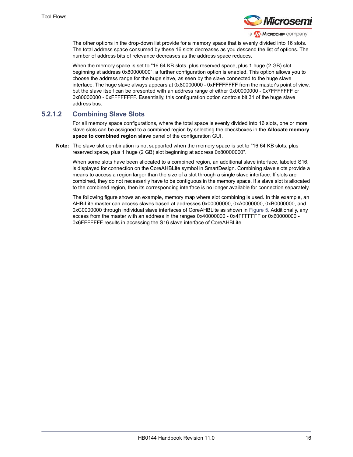

The other options in the drop-down list provide for a memory space that is evenly divided into 16 slots. The total address space consumed by these 16 slots decreases as you descend the list of options. The number of address bits of relevance decreases as the address space reduces.

When the memory space is set to "16 64 KB slots, plus reserved space, plus 1 huge (2 GB) slot beginning at address 0x80000000", a further configuration option is enabled. This option allows you to choose the address range for the huge slave, as seen by the slave connected to the huge slave interface. The huge slave always appears at 0x80000000 - 0xFFFFFFFF from the master's point of view, but the slave itself can be presented with an address range of either 0x00000000 - 0x7FFFFFFF or 0x80000000 - 0xFFFFFFFF. Essentially, this configuration option controls bit 31 of the huge slave address bus.

#### **5.2.1.2 Combining Slave Slots**

For all memory space configurations, where the total space is evenly divided into 16 slots, one or more slave slots can be assigned to a combined region by selecting the checkboxes in the **Allocate memory space to combined region slave** panel of the configuration GUI.

**Note:** The slave slot combination is not supported when the memory space is set to "16 64 KB slots, plus reserved space, plus 1 huge (2 GB) slot beginning at address 0x80000000".

When some slots have been allocated to a combined region, an additional slave interface, labeled S16, is displayed for connection on the CoreAHBLite symbol in SmartDesign. Combining slave slots provide a means to access a region larger than the size of a slot through a single slave interface. If slots are combined, they do not necessarily have to be contiguous in the memory space. If a slave slot is allocated to the combined region, then its corresponding interface is no longer available for connection separately.

The following figure shows an example, memory map where slot combining is used. In this example, an AHB-Lite master can access slaves based at addresses 0x00000000, 0xA0000000, 0xB0000000, and 0xC0000000 through individual slave interfaces of CoreAHBLite as shown in [Figure](#page-21-1) 5. Additionally, any access from the master with an address in the ranges 0x40000000 - 0x4FFFFFFF or 0x60000000 - 0x6FFFFFFF results in accessing the S16 slave interface of CoreAHBLite.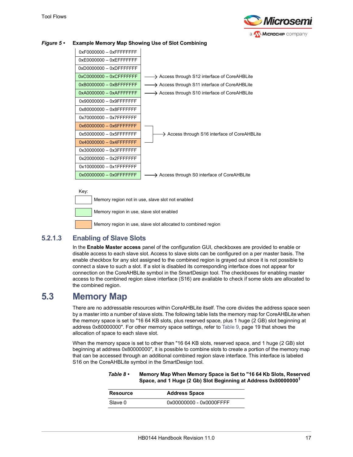



#### <span id="page-21-1"></span>*Figure 5 •* **Example Memory Map Showing Use of Slot Combining**



Memory region not in use, slave slot not enabled

Memory region in use, slave slot enabled

Memory region in use, slave slot allocated to combined region

### **5.2.1.3 Enabling of Slave Slots**

In the **Enable Master access** panel of the configuration GUI, checkboxes are provided to enable or disable access to each slave slot. Access to slave slots can be configured on a per master basis. The enable checkbox for any slot assigned to the combined region is grayed out since it is not possible to connect a slave to such a slot. If a slot is disabled its corresponding interface does not appear for connection on the CoreAHBLite symbol in the SmartDesign tool. The checkboxes for enabling master access to the combined region slave interface (S16) are available to check if some slots are allocated to the combined region.

## <span id="page-21-0"></span>**5.3 Memory Map**

There are no addressable resources within CoreAHBLite itself. The core divides the address space seen by a master into a number of slave slots. The following table lists the memory map for CoreAHBLite when the memory space is set to "16 64 KB slots, plus reserved space, plus 1 huge (2 GB) slot beginning at address 0x80000000". For other memory space settings, refer to Table [9, page](#page-23-0) 19 that shows the allocation of space to each slave slot.

When the memory space is set to other than "16 64 KB slots, reserved space, and 1 huge (2 GB) slot beginning at address 0x80000000", it is possible to combine slots to create a portion of the memory map that can be accessed through an additional combined region slave interface. This interface is labeled S16 on the CoreAHBLite symbol in the SmartDesign tool.

<span id="page-21-2"></span>

| Table $8 \cdot$ | Memory Map When Memory Space is Set to "16 64 Kb Slots, Reserved           |
|-----------------|----------------------------------------------------------------------------|
|                 | Space, and 1 Huge (2 Gb) Slot Beginning at Address 0x80000000 <sup>1</sup> |

| Resource | <b>Address Space</b>    |
|----------|-------------------------|
| Slave 0  | 0x00000000 - 0x0000FFFF |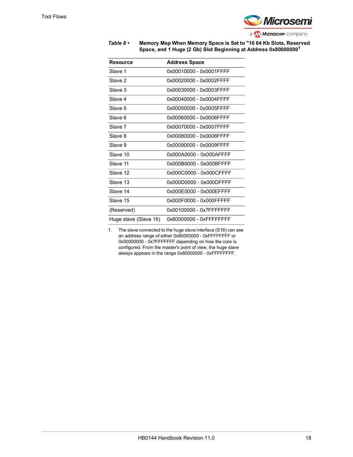

#### *Table 8 •* **Memory Map When Memory Space is Set to "16 64 Kb Slots, Reserved Space, and 1 Huge (2 Gb) Slot Beginning at Address 0x800000001**

| <b>Resource</b>       | <b>Address Space</b>    |
|-----------------------|-------------------------|
| Slave 1               | 0x00010000 - 0x0001FFFF |
| Slave 2               | 0x00020000 - 0x0002FFFF |
| Slave 3               | 0x00030000 - 0x0003FFFF |
| Slave 4               | 0x00040000 - 0x0004FFFF |
| Slave 5               | 0x00050000 - 0x0005FFFF |
| Slave 6               | 0x00060000 - 0x0006FFFF |
| Slave 7               | 0x00070000 - 0x0007FFFF |
| Slave 8               | 0x00080000 - 0x0008FFFF |
| Slave 9               | 0x00090000 - 0x0009FFFF |
| Slave 10              | 0x000A0000 - 0x000AFFFF |
| Slave 11              | 0x000B0000 - 0x000BFFFF |
| Slave 12              | 0x000C0000 - 0x000CFFFF |
| Slave 13              | 0x000D0000 - 0x000DFFFF |
| Slave 14              | 0x000F0000 - 0x000FFFFF |
| Slave 15              | 0x000F0000 - 0x000FFFFF |
| (Reserved)            | 0x00100000 - 0x7FFFFFFF |
| Huge slave (Slave 16) | 0x80000000 - 0xFFFFFFFF |

1. The slave connected to the huge slave interface (S16) can see an address range of either 0x80000000 - 0xFFFFFFFF or 0x00000000 - 0x7FFFFFFF depending on how the core is configured. From the master's point of view, the huge slave always appears in the range 0x80000000 - 0xFFFFFFFF.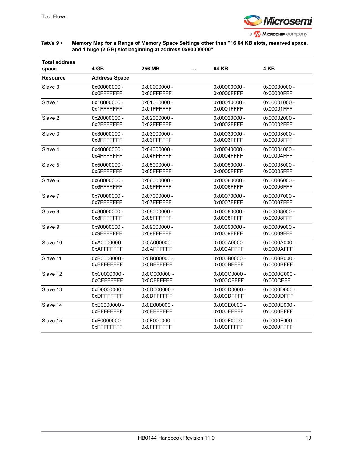

#### <span id="page-23-0"></span>*Table 9 •* **Memory Map for a Range of Memory Space Settings other than "16 64 KB slots, reserved space, and 1 huge (2 GB) slot beginning at address 0x80000000"**

| <b>Total address</b><br>space | 4 GB                 | 256 MB<br>   | 64 KB        | 4 KB         |  |
|-------------------------------|----------------------|--------------|--------------|--------------|--|
| <b>Resource</b>               | <b>Address Space</b> |              |              |              |  |
| Slave 0                       | 0x00000000 -         | 0x00000000 - | 0x00000000 - | 0x00000000 - |  |
|                               | 0x0FFFFFFF           | 0x00FFFFFF   | 0x0000FFFF   | 0x00000FFF   |  |
| Slave 1                       | 0x10000000 -         | 0x01000000 - | 0x00010000 - | 0x00001000 - |  |
|                               | 0x1FFFFFFF           | 0x01FFFFFF   | 0x0001FFFF   | 0x00001FFF   |  |
| Slave 2                       | 0x20000000 -         | 0x02000000 - | 0x00020000 - | 0x00002000 - |  |
|                               | 0x2FFFFFFFF          | 0x02FFFFFF   | 0x0002FFFF   | 0x00002FFF   |  |
| Slave 3                       | 0x30000000 -         | 0x03000000 - | 0x00030000 - | 0x00003000 - |  |
|                               | 0x3FFFFFFFF          | 0x03FFFFFF   | 0x0003FFFF   | 0x00003FFF   |  |
| Slave 4                       | 0x40000000 -         | 0x04000000 - | 0x00040000 - | 0x00004000 - |  |
|                               | 0x4FFFFFFFF          | 0x04FFFFFFF  | 0x0004FFFF   | 0x00004FFF   |  |
| Slave 5                       | 0x50000000 -         | 0x05000000 - | 0x00050000 - | 0x00005000 - |  |
|                               | 0x5FFFFFFF           | 0x05FFFFFF   | 0x0005FFFF   | 0x00005FFF   |  |
| Slave 6                       | 0x60000000 -         | 0x06000000 - | 0x00060000 - | 0x00006000 - |  |
|                               | 0x6FFFFFFF           | 0x06FFFFFF   | 0x0006FFFF   | 0x00006FFF   |  |
| Slave 7                       | 0x70000000 -         | 0x07000000 - | 0x00070000 - | 0x00007000 - |  |
|                               | 0x7FFFFFFFF          | 0x07FFFFFF   | 0x0007FFFF   | 0x00007FFF   |  |
| Slave 8                       | 0x80000000 -         | 0x08000000 - | 0x00080000 - | 0x00008000 - |  |
|                               | 0x8FFFFFFF           | 0x08FFFFFF   | 0x0008FFFF   | 0x00008FFF   |  |
| Slave 9                       | 0x90000000 -         | 0x09000000 - | 0x00090000 - | 0x00009000 - |  |
|                               | 0x9FFFFFFF           | 0x09FFFFFF   | 0x0009FFFF   | 0x00009FFF   |  |
| Slave 10                      | 0xA0000000 -         | 0x0A000000 - | 0x000A0000 - | 0x0000A000 - |  |
|                               | 0xAFFFFFFFF          | 0x0AFFFFFF   | 0x000AFFFF   | 0x0000AFFF   |  |
| Slave 11                      | 0xB0000000 -         | 0x0B000000 - | 0x000B0000 - | 0x0000B000 - |  |
|                               | 0xBFFFFFFF           | 0x0BFFFFFF   | 0x000BFFFF   | 0x0000BFFF   |  |
| Slave 12                      | 0xC0000000 -         | 0x0C000000 - | 0x000C0000 - | 0x0000C000 - |  |
|                               | 0xCFFFFFFF           | 0x0CFFFFFF   | 0x000CFFFF   | 0x000CFFF    |  |
| Slave 13                      | 0xD0000000 -         | 0x0D000000 - | 0x000D0000 - | 0x0000D000 - |  |
|                               | 0xDFFFFFFF           | 0x0DFFFFFF   | 0x000DFFFF   | 0x0000DFFF   |  |
| Slave 14                      | 0xE0000000 -         | 0x0E000000 - | 0x000E0000 - | 0x0000E000 - |  |
|                               | 0xEFFFFFFFF          | 0x0EFFFFFF   | 0x000EFFFF   | 0x0000EFFF   |  |
| Slave 15                      | 0xF0000000 -         | 0x0F000000 - | 0x000F0000 - | 0x0000F000 - |  |
|                               | 0xFFFFFFFF           | 0x0FFFFFFF   | 0x000FFFFF   | 0x0000FFFF   |  |